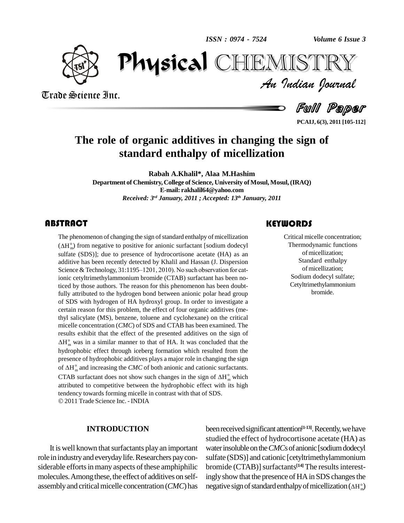*ISSN : 0974 - 7524*

*Volume 6 Issue 3*



Trade Science Inc.

Trade Science Inc.

*Volume 6 Issue 3*<br>IISTRY<br>Indian Iournal PhysicalTEMISTR

Full Paper

**PCAIJ, 6(3), 2011 [105-112]**

## **The role of organic additives in changing the sign of standard enthalpy of micellization**

**Rabah A.Khalil\*, Alaa M.Hashim**

**Department of Chemistry, College of Science, University of Mosul, Mosul, (IRAQ) E-mail: [rakhalil64@yahoo.com](mailto:rakhalil64@yahoo.com)** *Received: 3 rd January, 2011 ; Accepted: 13 th January, 2011*

### **ABSTRACT**

The phenomenon of changing the sign of standard enthalpy of micellization  $(\Delta H_{m}^{\circ})$  from negative to positive for anionic surfactant [sodium dodecyl sulfate (SDS)]; due to presence of hydrocortisone acetate (HA) as an The phenomenon of changing the sign of standard enthalpy of micellization  $(\Delta H_{m}^{o})$  from negative to positive for anionic surfactant [sodium dodecyl The phenomenon<br> $\Delta H_m^{\circ}$  from nega additive has been recently detected by Khalil and Hassan (J. Dispersion sulfate (SDS)]; due to presence of hydrocortisone acetate (HA) as an additive has been recently detected by Khalil and Hassan (J. Dispersion Science & Technology, 31:1195–1201, 2010). No such observation for cationic cetyltrimethylammonium bromide (CTAB) surfactant has been noticed by those authors. The reason for this phenomenon has been doubtfully attributed to the hydrogen bond between anionic polar head group of SDS with hydrogen of HA hydroxyl group. In order to investigate a certain reason for this problem, the effect of four organic additives (methyl salicylate (MS), benzene, toluene and cyclohexane) on the critical micelle concentration (*CMC*) of SDS and CTAB has been examined. The results exhibit that the effect of the presented additives on the sign of micelle concentration (*CMC*) of SDS and CTAB has been examined. The<br>results exhibit that the effect of the presented additives on the sign of<br> $\Delta H_{m}^{\circ}$  was in a similar manner to that of HA. It was concluded that the hydrophobic effect through iceberg formation which resulted from the presence of hydrophobic additives plays a major role in changing the sign of  $\Delta H_{m}^{\circ}$  and increasing the *CMC* of both anionic and cationic surfactants. drophobic effect<br>esence of hydrop<br>ΔH<sub>m</sub> and increas presence of hydrophobic additives plays a major role in changing the sign<br>of  $\Delta H_{m}^{\circ}$  and increasing the *CMC* of both anionic and cationic surfactants.<br>CTAB surfactant does not show such changes in the sign of  $\Delta H_{m$ attributed to competitive between the hydrophobic effect with its high tendency towards forming micelle in contrast with that of SDS. 2011Trade Science Inc. - INDIA

#### **INTRODUCTION**

It is well known that surfactants play an important role inindustryand everydaylife.Researchers paycon siderable efforts in many aspects of these amphiphilic molecules. Among these, the effect of additives on selfassembly and critical micelle concentration (*CMC*) has

Critical micelle conce<br>Thermodynamic fur<br>of micellization Critical micelle concentration; Thermodynamic functions ofmicellization; Standard enthalpy of micellization; Sodium dodecyl sulfate; Cetyltrimethylammonium bromide.

been received significant attention<sup>[1-13]</sup>. Recently, we have studied the effect of hydrocortisone acetate (HA) as water insoluble on the *CMC*s of anionic [sodium dodecyl] sulfate (SDS)] and cationic [cetyltrimethylammonium bromide (CTAB)] surfactants<sup>[14]</sup> The results interestingly show that the presence of HA in SDS changes the negative sign of standard enthalpy of micellization ( $\Delta H_{m}^{\circ}$ )  $\Delta H_m^{\circ}$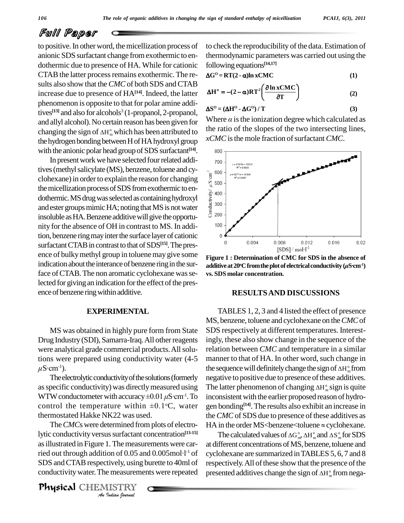## Full Paper

to positive.In other word, themicellization process of anionic SDS surfactant change from exothermic to endothermic due to presence of HA. While for cationic CTAB the latter process remains exothermic. The results also show that the*CMC* of both SDS and CTAB increase due to presence of HA**[14]**. Indeed, the latter phenomenon is opposite to that for polar amine additives<sup>[13]</sup> and also for alcohols<sup>3</sup> (1-propanol, 2-propanol,  $\frac{dS}{dx}$ and allyl alcohol). No certain reason has been given for Wn changing the sign of  $\Delta H_{m}^{\circ}$  which has been attributed to  $\Delta H_{\text{m}}^{\circ}$  which has been given for<br> $\Delta H_{\text{m}}^{\circ}$  which has been attributed to the hydrogen bonding between H of HA hydroxyl group with the anionic polar head group of SDS surfactant<sup>[14]</sup>.

In present work we have selected four related additives (methyl salicylate (MS), benzene, toluene and cy-<br>clohexane) in order to explain the reason for changing<br>the micellization process of SDS from excthermiate on clohexane) in order to explain the reason for changing the micellization process of SDS from exothermic to endothermic. MS drug was selected as containing hydroxyl<br>and ester groups mimic HA; noting that MS is not water<br>insoluble as HA. Benzene additive will give the opportune dothermic. MS drug was selected as containing hydroxyl and ester groups mimic HA; noting that MS is not water insoluble as HA. Benzene additive will give the opportunity for the absence of OH in contrast to MS.In addition, benzene ring may inter the surface layer of cationic o surfactant CTAB in contrast to that of SDS<sup>[15]</sup>. The presence of bulkymethyl group in toluenemay give some indication about the interance of benzene ring in the surface of CTAB. The non aromatic cyclohexane was selected for giving an indication for the effect of the presence of benzene ring within additive.

#### **EXPERIMENTAL**

MS was obtained in highly pure form from State Drug Industry (SDI), Samarra-Iraq. All other reagents were analytical grade commercial products. All solutions were prepared using conductivity water (4-5 vere analytica<br>ons were pro<br>S·cm<sup>-1</sup>).

The electrolytic conductivity of the solutions (formerly as specific conductivity) was directly measured using The lat The electrolytic conductivity of the solutions (formerly<br>as specific conductivity) was directly measured using<br>WTW conductometer with accuracy  $\pm 0.01 \,\mu S \cdot cm^{-1}$ . To as specific conductivity) was directly measured usin<br>WTW conductometer with accuracy  $\pm 0.01 \,\mu S \cdot cm^{-1}$ . T<br>control the temperature within  $\pm 0.1 \degree C$ , wate control the temperature within  $\pm 0.1$ °C, water thermostated Hakke NK22 was used.

as illustrated in Figure 1. The measurements were car-<br> *The measurements were car-*<br> *Ana I I Ana I Ana Durette to 40ml of*<br> *Ana Ana Indian Degree is the MISTRY* The *CMC*s were determined from plots of electrolytic conductivity versus surfactant concentration<sup>[13-15]</sup><br>as illustrated in Figure 1. The measurements were carried out through addition of 0.05 and 0.005mol·l<sup>-1</sup> of cyc SDS and CTAB respectively, using burette to 40ml of conductivitywater.The measurements were repeated

Physical CHEMISTRY

to check the reproducibility of the data. Estimation of thermodynamic parameters was carried out using the following equations **[14,17]** bethoughanne parameters was carried out using the<br>blowing equations<sup>[14,17]</sup>  $G^0 = RT(2 \cdot \alpha) \ln xCMC$  (1)

$$
\Delta G^0 = RT(2 - \alpha) \ln xCMC
$$
 (1)  
 
$$
\sqrt{\partial \ln xCMC}
$$

$$
\Delta G^{\circ} = RT(2 - \alpha) \ln xCMC
$$
 (1)  
\n
$$
\Delta H^{\circ} = -(2 - \alpha)RT^{2} \left( \frac{\partial \ln xCMC}{\partial T} \right)
$$
 (2)  
\n
$$
\Delta S^{\circ} = (\Delta H^{\circ} - \Delta G^{\circ}) / T
$$
 (3)

$$
\Delta S^{\rm o} = (\Delta H^{\rm o} \cdot \Delta G^{\rm o}) / T \tag{3}
$$

Where  $\alpha$  is the ionization degree which calculated as the ratio of the slopes of the two intersecting lines, *xCMC* is the mole fraction of surfactant *CMC*.



**Figure 1 : Determination of CMC for SDS in the absence of** additive at  $20^{\circ}$ C from the plot of electrical conductivity  $(\mu S\text{-cm}^1)$  $\text{[SDS]} / \text{mol·I}^{-1}$ <br>etermination of CMC for SDS in the absence of<br><sup>o</sup>C from the plot of electrical conductivity (*µ*S·cm<sup>-1</sup>) **vs. SDS molar concentration.**

#### **RESULTSAND DISCUSSIONS**

.To inconsistent with the earlier proposed reason of hydro- TABLES 1, 2, 3 and 4 listed the effect of presence MS, benzene, toluene and cyclohexane on the*CMC*of SDS respectively at different temperatures. Interestingly, these also show change in the sequence of the relation between *CMC* and temperature in a similar manner to that of HA. In other word, such change in the sequence will definitely change the sign of  $\Delta H_{\scriptscriptstyle \rm m}^{\scriptscriptstyle\rm o}$  from a sminar<br>change in<br> $\Delta H_m^{\circ}$ from negative to positive due to presence of these additives. The latter phenomenon of changing  $\Delta H_{m}^{\circ}$  sign is quite sign of  $\Delta H_m$  modified<br>f these additive<br> $\Delta H_m^{\circ}$  sign is qui gen bonding **[14]**. The results also exhibit an increase in the *CMC* of SDS due to presence of these additives as gen bonding<sup>[14]</sup>. The results also exhibit an increase in<br>the *CMC* of SDS due to presence of these additives as<br>HA in the order MS<br/>benzene<toluene  $\approx$  cyclohexane.  $CMC$  or SDS due to presence or these additives as<br>in the order MS <br/>benzene <toluene  $\approx$  cyclohexane.<br>The calculated values of  $\Delta G_{m}^{\circ} \Delta H_{m}^{\circ}$  and  $\Delta S_{m}^{\circ}$  for SDS

<sup>-1</sup> of cyclohexane are summarized in TABLES 5, 6, 7 and 8 at different concentrations of MS, benzene, toluene and respectively. All of these show that the presence of the presented additives change the sign of  $\Delta H_m^{\circ}$  from nega- $ES 3, 0, 7$  and  $\alpha$ <br>presence of the  $\Delta H_m^{\circ}$  from nega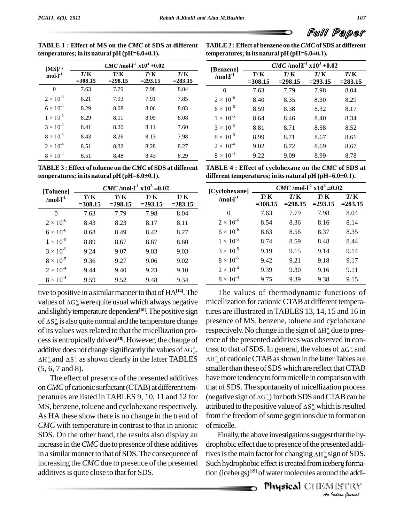|                         |                   | temperatures; in its natural pH (pH=6.0 $\pm$ 0.1). |                                                   |                   | tempe           |
|-------------------------|-------------------|-----------------------------------------------------|---------------------------------------------------|-------------------|-----------------|
| IMSI/                   |                   |                                                     | $CMC$ /mol·l <sup>-1</sup> x10 <sup>3</sup> ±0.02 |                   | [Bel            |
| $mol·l-1$               | T/K<br>$= 308.15$ | T/K<br>$= 298.15$                                   | T/K<br>$= 293.15$                                 | T/K<br>$= 283.15$ | /m              |
| $\Omega$                | 7.63              | 7.79                                                | 7.98                                              | 8.04              |                 |
| $2 \times 10^{-6}$      | 8.21              | 7.93                                                | 7.91                                              | 7.85              | $2\rightarrow$  |
| $6 \times 10^{-6}$      | 8.29              | 8.08                                                | 8.06                                              | 8.03              | $6 \rightarrow$ |
| $1 \times 10^{-5}$      | 8.29              | 8.11                                                | 8.09                                              | 8.08              | $1$ >           |
| $3 \times 10^{-5}$      | 8.41              | 8.20                                                | 8.11                                              | 7.60              | $3\rightarrow$  |
| $8 \times 10^{-5}$      | 8.43              | 8.26                                                | 8.13                                              | 7.98              | 8 >             |
| $2\times10^{\text{-}4}$ | 8.51              | 8.32                                                | 8.28                                              | 8.27              | $2\rightarrow$  |
| $8 \times 10^{-4}$      | 8.51              | 8.48                                                | 8.43                                              | 8.29              | 8 >             |

**TABLE 1 : Effect of MS on the** *CMC* **of SDS at different theory of the finally TABLE 1 : Effect of MS on the** *CMC* **of SDS at<br>temperatures; in its natural pH (pH=6.0±0.1).** 

**TABLE2 :Effect of benzene on the** *CMC***of SDS at different temperatures; in its natural pH (pH=6.0±0.1). temperatures; in its natural pH (pH=6.0** $\pm$ **0.1).** 

| [Benzene]          |            | $CMC$ /mol <sup>1-1</sup> x10 <sup>3</sup> ±0.02 |            |            |  |  |  |  |
|--------------------|------------|--------------------------------------------------|------------|------------|--|--|--|--|
| $/mol1^{-1}$       | T/K        | T/K                                              | T/K        | T/K        |  |  |  |  |
|                    | $= 308.15$ | $= 298.15$                                       | $= 293.15$ | $= 283.15$ |  |  |  |  |
| $\Omega$           | 7.63       | 7.79                                             | 7.98       | 8.04       |  |  |  |  |
| $2 \times 10^{-6}$ | 8.40       | 8.35                                             | 8.30       | 8.29       |  |  |  |  |
| $6 \times 10^{-6}$ | 8.59       | 8.38                                             | 8.32       | 8.17       |  |  |  |  |
| $1 \times 10^{-5}$ | 8.64       | 8.46                                             | 8.40       | 8.34       |  |  |  |  |
| $3 \times 10^{-5}$ | 8.81       | 8.71                                             | 8.58       | 8.52       |  |  |  |  |
| $8 \times 10^{-5}$ | 8.99       | 8.71                                             | 8.67       | 8.61       |  |  |  |  |
| $2 \times 10^{-4}$ | 9.02       | 8.72                                             | 8.69       | 8.67       |  |  |  |  |
| $8 \times 10^{-4}$ | 9.22       | 9.09                                             | 8.99       | 8.78       |  |  |  |  |

**TABLE 3 : Effect of toluene on the** *CMC***of SDS at different the state of the state of the CMC of SDS at**<br> **temperatures;** in its natural pH (pH=6.0±0.1).  $\frac{1}{\text{crit of the CMC of SBS of}}$ <br>  $\frac{\text{rad } \text{pH} (\text{pH=6.0}\pm0.1)}{\text{CMC/mol·l}^1 \times 10^3 \pm 0.02}$ 

| [Toluene]              |            |            | <i>CMC</i> /mol $\cdot$ l <sup>-1</sup> x10 <sup>3</sup> ±0.02 |            | [Cyclo     |
|------------------------|------------|------------|----------------------------------------------------------------|------------|------------|
| /mol $\cdot$ l $^{-1}$ | T/K        | T/K        | T/K                                                            | T/K        | /m         |
|                        | $= 308.15$ | $= 298.15$ | $= 293.15$                                                     | $= 283.15$ |            |
| $\Omega$               | 7.63       | 7.79       | 7.98                                                           | 8.04       |            |
| $2 \times 10^{-6}$     | 8.43       | 8.23       | 8.17                                                           | 8.11       | $2 \times$ |
| $6 \times 10^{-6}$     | 8.68       | 8.49       | 8.42                                                           | 8.27       | $6 \times$ |
| $1 \times 10^{-5}$     | 8.89       | 8.67       | 8.67                                                           | 8.60       | $1 \times$ |
| $3 \times 10^{-5}$     | 9.24       | 9.07       | 9.03                                                           | 9.03       | $3 \times$ |
| $8 \times 10^{-5}$     | 9.36       | 9.27       | 9.06                                                           | 9.02       | $8 \times$ |
| $2 \times 10^{-4}$     | 9.44       | 9.40       | 9.23                                                           | 9.10       | $2 \times$ |
| $8 \times 10^{-4}$     | 9.59       | 9.52       | 9.48                                                           | 9.34       | $8 \times$ |

tive to positive in a similar manner to that of HA<sup>[14]</sup>. The tive to positive in a similar manner to that of  $HA^{[14]}$ . The<br>values of  $\Delta G_{m}^{\circ}$  were quite usual which always negative micel and slightly temperature dependent<sup>[18]</sup>. The positive sign tures and of  $\Delta S_m^{\circ}$  is also quite normal and the temperature change preser des of  $\Delta G_m$ <br>d slightly ten<br> $\Delta S_m^{\circ}$  is also c of its values wasrelated to that the micellization pro cess is entropically driven<sup>[18]</sup>. However, the change of enc additive does not change significantly the values of  $\Delta G_{\text{m}}^{\circ}$ , cess is entropicant<br>additive does not cl<br> $\Delta H_m^{\circ}$  and  $\Delta S_m^{\circ}$  as sh  $\Delta H_{m}^{\circ}$  and  $\Delta S_{m}^{\circ}$  as shown clearly in the latter TABLES  $\Delta H_{m}^{\circ}$  of cationic CTAB as shown in the latter Tables are (5, 6, 7 and 8).

The effect of presence of the presented additives on *CMC* of cationic surfactant (CTAB) at different temperatures are listed in TABLES 9, 10, 11 and 12 for MS, benzene, toluene and cyclohexane respectively. As HA these show there is no change in the trend of *CMC* with temperature in contrast to that in anionic SDS. On the other hand, the results also display an increase in the *CMC* due to presence of these additives in a similar manner to that of SDS. The consequence of increasing the *CMC* due to presence of the presented additives is quite close to that for SDS.

**TABLE 4 : Effect of cyclohexane on the** *CMC* **of SDS at different temperatures;** in its natural pH (pH=6.0±0.1).  $\frac{1}{2}$  its natural pH (pH=6.0±<br>  $\frac{1}{2}$  *CMC* /mol·l<sup>-1</sup> x10<sup>3</sup> ±0.02

| [Cyclohexane]      | $CMC$ /mol·l <sup>-1</sup> x10 <sup>3</sup> ±0.02 |                    |                   |                   |  |  |  |
|--------------------|---------------------------------------------------|--------------------|-------------------|-------------------|--|--|--|
| $/mol-1$           | T/K<br>$= 308.15$                                 | 7/ K<br>$= 298.15$ | T/K<br>$= 293.15$ | T/K<br>$= 283.15$ |  |  |  |
| 0                  | 7.63                                              | 7.79               | 7.98              | 8.04              |  |  |  |
| $2 \times 10^{-6}$ | 8.54                                              | 8.36               | 8.16              | 8.14              |  |  |  |
| $6 \times 10^{-6}$ | 8.63                                              | 8.56               | 8.37              | 8.35              |  |  |  |
| $1 \times 10^{-5}$ | 8.74                                              | 8.59               | 8.48              | 8.44              |  |  |  |
| $3 \times 10^{-5}$ | 9.19                                              | 9.15               | 9.14              | 9.14              |  |  |  |
| $8 \times 10^{-5}$ | 9.42                                              | 9.21               | 9.18              | 9.17              |  |  |  |
| $2 \times 10^{-4}$ | 9.39                                              | 9.30               | 9.16              | 9.11              |  |  |  |
| $8 \times 10^{-4}$ | 9.75                                              | 9.39               | 9.38              | 9.15              |  |  |  |

pro-<br>ge of ence of the presented additives was observed in con-<br> $\Delta G_{m}^{\circ}$ , trast to that of SDS. In general, the values of  $\Delta G_{m}^{\circ}$  and transfer that of the presented additives was observed in contrast to that of SDS. In general, the values of  $\Delta G_n^{\circ}$  and The values of thermodynamic functions of micellization for cationic CTAB at different temperatures are illustrated in TABLES 13, 14, 15 and 16 in presence of MS, benzene, toluene and cyclohexane thes are must also in TABLES 15, 14, 15 and 10 m<br>presence of MS, benzene, toluene and cyclohexane<br>respectively. No change in the sign of  $\Delta H_n^{\circ}$  due to prestrast to that of SDS. In general, the values of  $\Delta G_m^{\circ}$  and  $\Delta H_m^{\circ}$  of cationic CTAB as shown in the latter Tables are smaller than these of SDS which are reflect that CTAB have more tendency to form micelle in comparison with that of SDS. The spontaneity of micellization process have more tendency to form inicene in comparison with<br>that of SDS. The spontaneity of micellization process<br>(negative sign of  $\Delta G_n^{\circ}$ ) for both SDS and CTAB can be attributed to the positive value of  $\Delta S_m^{\circ}$  which is resulted  $DS$  and CTAB can be<br> $\Delta S_{\rm m}^{\circ}$  which is resulted from the freedom of some gegin ions due to formation ofmicelle.

> Finally, the above investigations suggest that the hy-*Indian Indian*<br>*Ign of SDS.*<br>*Deerg forma*<br>Indian *Iournal*<br>*Indian Iournal* drophobic effect due to presence of the presented addi-Thiany, the above investigations suggest that the hydrophobic effect due to presence of the presented additives is the main factor for changing  $\Delta H_{\text{m}}^{\circ}$  sign of SDS. Such hydrophobic effect is created from iceberg formation (icebergs) **[19]** of watermolecules around the addi-

Physical CHEMISTRY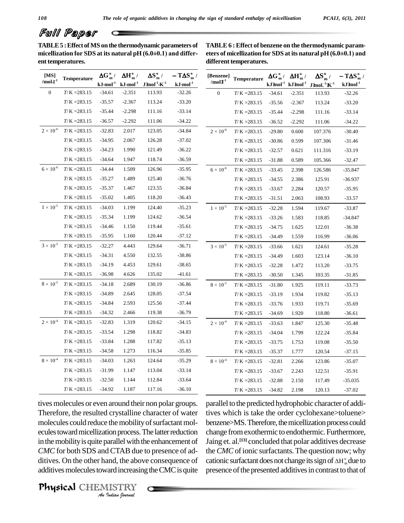$\cdot$ <sup>1</sup>**X**<sup>-1</sup> **kJ?mol**<sup>-1</sup>

## Full Paper

 $\frac{1}{\sqrt{\frac{1}{2} \cdot \frac{1}{2} \cdot \frac{1}{2}}}$ **TABLE5 :Effect ofMS onthe thermodynamicparameters of m**icellization for **SDS** at its natural pH (6.0±0.1) and differ-<br>**conduction** for SDS at its natural pH (6.0±0.1) and different temperatures.

| TABLE 6 : Effect of benzene on the thermodynamic param-<br>eters of micellization for SDS at its natural pH $(6.0\pm0.1)$ and<br>different temperatures. |  |  |                                                                                                            |  |  |  |  |  |  |
|----------------------------------------------------------------------------------------------------------------------------------------------------------|--|--|------------------------------------------------------------------------------------------------------------|--|--|--|--|--|--|
| [Benzene] Temperature $\Delta G_m^o / \Delta H_m^o / \Delta S_m^o / -T \Delta S_m^o /$                                                                   |  |  | $1.19 \text{mol}^{-1}$ $1.19 \text{mol}^{-1}$ $10 \text{J}^{-1}$ $10 \text{J}^{-1}$ $1.19 \text{mol}^{-1}$ |  |  |  |  |  |  |

**kJ?mol -1 kJ?mol J?mol.**

0 *T*/ K =283.15 -34.61 -2.351 113.93 -32.26 *T*/ K =283.15 -35.56 -2.367 113.24 -33.20 *T*/ K =283.15 -35.44 -2.298 111.16 -33.14 *T*/ K =283.15 -36.52 -2.292 111.06 -34.22

|                                | ent temperatures.  |                                          |                                                   |                                                                   |                                                   |                            | different temperatures. |                               |
|--------------------------------|--------------------|------------------------------------------|---------------------------------------------------|-------------------------------------------------------------------|---------------------------------------------------|----------------------------|-------------------------|-------------------------------|
| [MS]<br>/mol $\cdot$ l $^{-1}$ | <b>Temperature</b> | $\Delta G_m^o$ /<br>kJ·mol <sup>-1</sup> | $\Delta H_m^{\circ}$ /<br>$kJ$ -mol <sup>-1</sup> | $\Delta S_m^o$ /<br>$J$ <i>mol</i> <sup>-1</sup> ·K <sup>-1</sup> | $- T \Delta S_m^{\circ}$ /<br>$kJ \cdot mol^{-1}$ | [Benzene]<br>/mol $3^{-1}$ | <b>Temperature</b>      | $\Delta G_n^{\circ}$<br>kJ?no |
| $\mathbf{0}$                   | $T/K = 283.15$     | $-34.61$                                 | $-2.351$                                          | 113.93                                                            | $-32.26$                                          | $\boldsymbol{0}$           | $T/K = 283.15$          | $-34.6$                       |
|                                | $T/K = 283.15$     | $-35.57$                                 | $-2.367$                                          | 113.24                                                            | $-33.20$                                          |                            | $T/K = 283.15$          | $-35.5$                       |
|                                | $T/K = 283.15$     | $-35.44$                                 | $-2.298$                                          | 111.16                                                            | $-33.14$                                          |                            | $T/K = 283.15$          | $-35.4$                       |
|                                | $T/K = 283.15$     | $-36.57$                                 | $-2.292$                                          | 111.06                                                            | $-34.22$                                          |                            | $T/K = 283.15$          | $-36.5$                       |
| $2 \times 10^{-6}$             | $T/K = 283.15$     | $-32.83$                                 | 2.017                                             | 123.05                                                            | $-34.84$                                          | $2\times10^{\text{-}6}$    | $T/K = 283.15$          | $-29.8$                       |
|                                | $T/K = 283.15$     | $-34.95$                                 | 2.067                                             | 126.28                                                            | $-37.02$                                          |                            | $T/K = 283.15$          | $-30.8$                       |
|                                | $T/K = 283.15$     | $-34.23$                                 | 1.990                                             | 121.49                                                            | $-36.22$                                          |                            | $T/K = 283.15$          | $-32.5$                       |
|                                | $T/K = 283.15$     | $-34.64$                                 | 1.947                                             | 118.74                                                            | $-36.59$                                          |                            | $T/K = 283.15$          | $-31.8$                       |
| $6 \times 10^{-6}$             | $T/K = 283.15$     | $-34.44$                                 | 1.509                                             | 126.96                                                            | $-35.95$                                          | $6\times10^{\text{-}6}$    | $T/K = 283.15$          | $-33.4$                       |
|                                | $T/K = 283.15$     | $-35.27$                                 | 1.489                                             | 125.40                                                            | $-36.76$                                          |                            | $T/K = 283.15$          | $-34.5$                       |
|                                | $T/K = 283.15$     | $-35.37$                                 | 1.467                                             | 123.55                                                            | $-36.84$                                          |                            | $T/K = 283.15$          | $-33.6$                       |
|                                | $T/K = 283.15$     | $-35.02$                                 | 1.405                                             | 118.20                                                            | -36.43                                            |                            | $T/K = 283.15$          | $-31.5$                       |
| $1 \times 10^{-5}$             | $T/K = 283.15$     | $-34.03$                                 | 1.199                                             | 124.40                                                            | $-35.23$                                          | $1\times10^{-5}$           | $T/K = 283.15$          | $-32.2$                       |
|                                | $T/K = 283.15$     | $-35.34$                                 | 1.199                                             | 124.62                                                            | $-36.54$                                          |                            | $T/K = 283.15$          | $-33.2$                       |
|                                | $T/K = 283.15$     | $-34.46$                                 | 1.150                                             | 119.44                                                            | $-35.61$                                          |                            | $T/K = 283.15$          | $-34.7$                       |
|                                | $T/K = 283.15$     | $-35.95$                                 | 1.160                                             | 120.44                                                            | $-37.12$                                          |                            | $T/K = 283.15$          | $-34.4$                       |
| $3 \times 10^{-5}$             | $T/K = 283.15$     | $-32.27$                                 | 4.443                                             | 129.64                                                            | -36.71                                            | $3\times10^{\text{-}5}$    | $T/K = 283.15$          | $-33.6$                       |
|                                | $T/K = 283.15$     | $-34.31$                                 | 4.550                                             | 132.55                                                            | $-38.86$                                          |                            | $T/K = 283.15$          | $-34.4$                       |
|                                | $T/K = 283.15$     | $-34.19$                                 | 4.453                                             | 129.61                                                            | $-38.65$                                          |                            | $T/K = 283.15$          | $-32.2$                       |
|                                | $T/K = 283.15$     | $-36.98$                                 | 4.626                                             | 135.02                                                            | -41.61                                            |                            | $T/K = 283.15$          | $-30.5$                       |
| $8\times10^{\text{-}5}$        | $T/K = 283.15$     | $-34.18$                                 | 2.689                                             | 130.19                                                            | $-36.86$                                          | $8\times10^{\text{-}5}$    | $T/K = 283.15$          | $-31.8$                       |
|                                | $T/K = 283.15$     | $-34.89$                                 | 2.645                                             | 128.05                                                            | $-37.54$                                          |                            | $T/K = 283.15$          | $-33.1$                       |
|                                | $T/K = 283.15$     | $-34.84$                                 | 2.593                                             | 125.56                                                            | $-37.44$                                          |                            | $T/K = 283.15$          | $-33.7$                       |
|                                | $T/K = 283.15$     | $-34.32$                                 | 2.466                                             | 119.38                                                            | $-36.79$                                          |                            | $T/K = 283.15$          | $-34.6$                       |
| $2\times10^4$                  | $T/K = 283.15$     | $-32.83$                                 | 1.319                                             | 120.62                                                            | $-34.15$                                          | $2\times10^{\text{-}4}$    | $T/K = 283.15$          | $-33.6$                       |
|                                | $T/K = 283.15$     | $-33.54$                                 | 1.298                                             | 118.82                                                            | $-34.83$                                          |                            | $T/K = 283.15$          | $-34.0$                       |
|                                | $T/K = 283.15$     | $-33.84$                                 | 1.288                                             | 117.82                                                            | $-35.13$                                          |                            | $T/K = 283.15$          | $-33.7$                       |
|                                | $T/K = 283.15$     | $-34.58$                                 | 1.273                                             | 116.34                                                            | -35.85                                            |                            | $T/K = 283.15$          | $-35.3$                       |
| $8 \times 10^{-4}$             | $T/K = 283.15$     | $-34.03$                                 | 1.263                                             | 124.64                                                            | $-35.29$                                          | $8 \times 10^{-4}$         | $T/K = 283.15$          | $-32.8$                       |
|                                | $T/K = 283.15$     | $-31.99$                                 | 1.147                                             | 113.04                                                            | $-33.14$                                          |                            | $T/K = 283.15$          | $-33.6$                       |
|                                | $T/K = 283.15$     | $-32.50$                                 | 1.144                                             | 112.84                                                            | $-33.64$                                          |                            | $T/K = 283.15$          | $-32.8$                       |
|                                | $T/K = 283.15$     | -34.92                                   | 1.187                                             | 117.16                                                            | $-36.10$                                          |                            | $T/K = 283.15$          | $-34.8$                       |

| $2 \times 10^{-6}$ | $T/K = 283.15$ | $-29.80$ | 0.600 | 107.376 | $-30.40$  |
|--------------------|----------------|----------|-------|---------|-----------|
|                    | $T/K = 283.15$ | $-30.86$ | 0.599 | 107.306 | $-31.46$  |
|                    | $T/K = 283.15$ | $-32.57$ | 0.621 | 111.316 | $-33.19$  |
|                    | $T/K = 283.15$ | $-31.88$ | 0.589 | 105.366 | $-32.47$  |
| $6 \times 10^{-6}$ | $T/K = 283.15$ | $-33.45$ | 2.398 | 126.586 | $-35.847$ |
|                    | $T/K = 283.15$ | $-34.55$ | 2.386 | 125.91  | $-36.937$ |
|                    | $T/K = 283.15$ | $-33.67$ | 2.284 | 120.57  | $-35.95$  |
|                    | $T/K = 283.15$ | $-31.51$ | 2.063 | 108.93  | -33.57    |
| $1 \times 10^{-5}$ | $T/K = 283.15$ | $-32.28$ | 1.594 | 119.67  | $-33.87$  |
|                    | $T/K = 283.15$ | $-33.26$ | 1.583 | 118.85  | -34.847   |
|                    | $T/K = 283.15$ | $-34.75$ | 1.625 | 122.01  | $-36.38$  |
|                    | $T/K = 283.15$ | $-34.49$ | 1.559 | 116.99  | $-36.06$  |
| $3 \times 10^{-5}$ | $T/K = 283.15$ | $-33.66$ | 1.621 | 124.61  | $-35.28$  |
|                    | $T/K = 283.15$ | $-34.49$ | 1.603 | 123.14  | $-36.10$  |
|                    | $T/K = 283.15$ | $-32.28$ | 1.472 | 113.20  | $-33.75$  |
|                    | $T/K = 283.15$ | $-30.50$ | 1.345 | 103.35  | $-31.85$  |
| $8 \times 10^{-5}$ | $T/K = 283.15$ | $-31.80$ | 1.925 | 119.11  | $-33.73$  |
|                    | $T/K = 283.15$ | $-33.19$ | 1.934 | 119.82  | $-35.13$  |
|                    | $T/K = 283.15$ | $-33.76$ | 1.933 | 119.71  | -35.69    |
|                    | $T/K = 283.15$ | $-34.69$ | 1.920 | 118.80  | -36.61    |
| $2\times10^{-4}$   | $T/K = 283.15$ | $-33.63$ | 1.847 | 125.30  | $-35.48$  |
|                    | $T/K = 283.15$ | $-34.04$ | 1.799 | 122.24  | $-35.84$  |
|                    | $T/K = 283.15$ | $-33.75$ | 1.753 | 119.08  | $-35.50$  |
|                    | $T/K = 283.15$ | $-35.37$ | 1.777 | 120.54  | -37.15    |
| $8 \times 10^{-4}$ | $T/K = 283.15$ | $-32.81$ | 2.266 | 123.86  | $-35.07$  |
|                    | $T/K = 283.15$ | $-33.67$ | 2.243 | 122.51  | $-35.91$  |
|                    | $T/K = 283.15$ | $-32.88$ | 2.150 | 117.49  | $-35.035$ |
|                    | $T/K = 283.15$ | $-34.82$ | 2.198 | 120.13  | $-37.02$  |

in the mobility is quite parallel with the enhancement of Jain *Indian Indian*<br>*Indian*<br>*Indian*<br>*I*ISTRY<br>*Indian fournal* tives molecules or even around their non polar groups. Therefore, the resulted crystalline character of water molecules could reduce the mobility of surfactant molecules toward micellization process. The latter reduction CMC for both SDS and CTAB due to presence of additives. On the other hand, the above consequence of cation additives molecules toward increasing the CMC is quite

Physical CHEMISTRY

parallel to the predicted hydrophobic character of additives which is take the order cyclohexane>toluene> benzene>MS. Therefore, the micellization process could change fromexothermic to endothermic. Furthermore, Jaing et. al.<sup>[13]</sup> concluded that polar additives decrease the*CMC*ofionic surfactants. The question now; why cationic surfactant does not change its sign of  $\Delta H_{m}^{\circ}$  due to now; why<br> $\Delta H_{m}^{\circ}$  due to presence of the presented additives in contrast to that of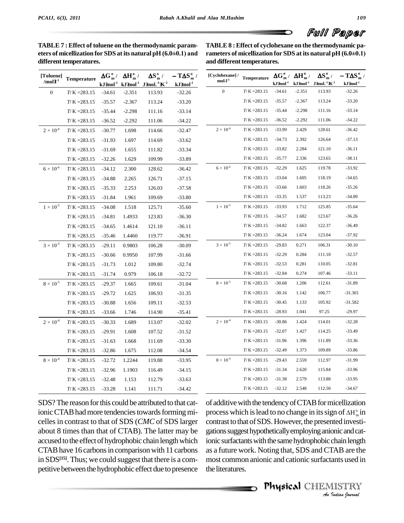

|                           | different temperatures. |          |                                 |                                                                                                                     |                                                       | and different temperatures.  |                    |                         |                                 |                                                                               |                                                      |
|---------------------------|-------------------------|----------|---------------------------------|---------------------------------------------------------------------------------------------------------------------|-------------------------------------------------------|------------------------------|--------------------|-------------------------|---------------------------------|-------------------------------------------------------------------------------|------------------------------------------------------|
| [Toluene]<br>$/mol1^{-1}$ | Temperature             |          | $\Delta G_m^o / \Delta H_m^o /$ | $\Delta S_m^{\circ}$ /<br>kJ2mol <sup>-1</sup> kJ2mol <sup>-1</sup> J2mol. <sup>-1</sup> $\mathbb{K}$ <sup>-1</sup> | $- T \Delta S_m^{\circ}$ /<br>$kJ$ 2mol <sup>-1</sup> | [Cyclohexane] /<br>$mol·l-1$ | <b>Temperature</b> | $kJ$ 2mol <sup>-1</sup> | $\Delta G_m^o / \Delta H_m^o /$ | $\Delta S_m^o$ /<br>kJ2mol <sup>-1</sup> J2mol. <sup>-1</sup> K <sup>-1</sup> | $-$ T $\Delta S_m^{\circ}$ /<br>kJ2mol <sup>-1</sup> |
| $\mathbf{0}$              | $T/K = 283.15$          | $-34.61$ | $-2.351$                        | 113.93                                                                                                              | $-32.26$                                              | $\mathbf{0}$                 | $T/K = 283.15$     | $-34.61$                | $-2.351$                        | 113.93                                                                        | $-32.26$                                             |
|                           | $T/K = 283.15$          | $-35.57$ | $-2.367$                        | 113.24                                                                                                              | $-33.20$                                              |                              | $T/K = 283.15$     | $-35.57$                | $-2.367$                        | 113.24                                                                        | $-33.20$                                             |
|                           | $T/K = 283.15$          | $-35.44$ | $-2.298$                        | 111.16                                                                                                              | $-33.14$                                              |                              | $T/K = 283.15$     | $-35.44$                | $-2.298$                        | 111.16                                                                        | $-33.14$                                             |
|                           | $T/K = 283.15$          | $-36.52$ | $-2.292$                        | 111.06                                                                                                              | $-34.22$                                              |                              | $T/K = 283.15$     | $-36.52$                | $-2.292$                        | 111.06                                                                        | $-34.22$                                             |
| $2 \times 10^{-6}$        | $T/K = 283.15$          | $-30.77$ | 1.698                           | 114.66                                                                                                              | $-32.47$                                              | $2\times10^{-6}$             | $T/K = 283.15$     | $-33.99$                | 2.429                           | 128.61                                                                        | $-36.42$                                             |
|                           | $T/K = 283.15$          | $-31.93$ | 1.697                           | 114.69                                                                                                              | $-33.62$                                              |                              | $T/K = 283.15$     | $-34.73$                | 2.392                           | 126.64                                                                        | $-37.13$                                             |
|                           | $T/K = 283.15$          | $-31.69$ | 1.655                           | 111.82                                                                                                              | $-33.34$                                              |                              | $T/K = 283.15$     | $-33.82$                | 2.284                           | 121.10                                                                        | $-36.11$                                             |
|                           | $T/K = 283.15$          | $-32.26$ | 1.629                           | 109.99                                                                                                              | $-33.89$                                              |                              | $T/K = 283.15$     | $-35.77$                | 2.336                           | 123.65                                                                        | $-38.11$                                             |
| $6 \times 10^{-6}$        | $T/K = 283.15$          | $-34.12$ | 2.300                           | 128.62                                                                                                              | $-36.42$                                              | $6 \times 10^{-6}$           | $T/K = 283.15$     | $-32.29$                | 1.625                           | 119.78                                                                        | $-33.92$                                             |
|                           | $T/K = 283.15$          | $-34.88$ | 2.265                           | 126.71                                                                                                              | $-37.15$                                              |                              | $T/K = 283.15$     | $-33.04$                | 1.605                           | 118.19                                                                        | $-34.65$                                             |
|                           | $T/K = 283.15$          | $-35.33$ | 2.253                           | 126.03                                                                                                              | $-37.58$                                              |                              | $T/K = 283.15$     | $-33.66$                | 1.603                           | 118.26                                                                        | $-35.26$                                             |
|                           | $T/K = 283.15$          | $-31.84$ | 1.961                           | 109.69                                                                                                              | $-33.80$                                              |                              | $T/K = 283.15$     | $-33.35$                | 1.537                           | 113.23                                                                        | $-34.89$                                             |
| $1 \times 10^{-5}$        | $T/K = 283.15$          | $-34.08$ | 1.518                           | 125.71                                                                                                              | $-35.60$                                              | $1 \times 10^{-5}$           | $T/K = 283.15$     | $-33.93$                | 1.712                           | 125.85                                                                        | $-35.64$                                             |
|                           | $T/K = 283.15$          | $-34.81$ | 1.4933                          | 123.83                                                                                                              | $-36.30$                                              |                              | $T/K = 283.15$     | $-34.57$                | 1.682                           | 123.67                                                                        | $-36.26$                                             |
|                           | $T/K = 283.15$          | $-34.65$ | 1.4614                          | 121.10                                                                                                              | $-36.11$                                              |                              | $T/K = 283.15$     | $-34.82$                | 1.663                           | 122.37                                                                        | $-36.49$                                             |
|                           | $T/K = 283.15$          | $-35.46$ | 1.4460                          | 119.77                                                                                                              | $-36.91$                                              |                              | $T/K = 283.15$     | $-36.24$                | 1.674                           | 123.04                                                                        | $-37.92$                                             |
| $3\times10^{-5}$          | $T/K = 283.15$          | $-29.11$ | 0.9803                          | 106.28                                                                                                              | $-30.09$                                              | $3 \times 10^{-5}$           | $T/K = 283.15$     | $-29.83$                | 0.271                           | 106.31                                                                        | $-30.10$                                             |
|                           | $T/K = 283.15$          | $-30.66$ | 0.9950                          | 107.99                                                                                                              | $-31.66$                                              |                              | $T/K = 283.15$     | $-32.29$                | 0.284                           | 111.10                                                                        | $-32.57$                                             |
|                           | $T/K = 283.15$          | $-31.73$ | 1.012                           | 109.80                                                                                                              | $-32.74$                                              |                              | $T/K = 283.15$     | $-32.53$                | 0.281                           | 110.05                                                                        | $-32.81$                                             |
|                           | $T/K = 283.15$          | $-31.74$ | 0.979                           | 106.18                                                                                                              | $-32.72$                                              |                              | $T/K = 283.15$     | $-32.84$                | 0.274                           | 107.46                                                                        | $-33.11$                                             |
| $8\times10^{\text{-}5}$   | $T/K = 283.15$          | $-29.37$ | 1.665                           | 109.61                                                                                                              | $-31.04$                                              | $8 \times 10^{-5}$           | $T/K = 283.15$     | $-30.68$                | 1.206                           | 112.61                                                                        | $-31.89$                                             |
|                           | $T/K = 283.15$          | $-29.72$ | 1.625                           | 106.93                                                                                                              | $-31.35$                                              |                              | $T/K = 283.15$     | $-30.16$                | 1.142                           | 106.77                                                                        | $-31.301$                                            |
|                           | $T/K = 283.15$          | $-30.88$ | 1.656                           | 109.11                                                                                                              | $-32.53$                                              |                              | $T/K = 283.15$     | $-30.45$                | 1.133                           | 105.92                                                                        | $-31.582$                                            |
|                           | $T/K = 283.15$          | $-33.66$ | 1.746                           | 114.90                                                                                                              | $-35.41$                                              |                              | $T/K = 283.15$     | $-28.93$                | 1.041                           | 97.25                                                                         | $-29.97$                                             |
| $2\times10^4$             | $T/K = 283.15$          | $-30.33$ | 1.689                           | 113.07                                                                                                              | $-32.02$                                              | $2 \times 10^{-4}$           | $T/K = 283.15$     | $-30.86$                | 1.424                           | 114.01                                                                        | $-32.28$                                             |
|                           | $T/K = 283.15$          | $-29.91$ | 1.608                           | 107.52                                                                                                              | $-31.52$                                              |                              | $T/K = 283.15$     | $-32.07$                | 1.427                           | 114.25                                                                        | $-33.49$                                             |
|                           | $T/K = 283.15$          | $-31.63$ | 1.668                           | 111.69                                                                                                              | $-33.30$                                              |                              | $T/K = 283.15$     | $-31.96$                | 1.396                           | 111.89                                                                        | $-33.36$                                             |
|                           | $T/K = 283.15$          | $-32.86$ | 1.675                           | 112.08                                                                                                              | $-34.54$                                              |                              | $T/K = 283.15$     | $-32.49$                | 1.373                           | 109.89                                                                        | $-33.86$                                             |
| $8 \times 10^{-4}$        | $T/K = 283.15$          | $-32.72$ | 1.2244                          | 119.88                                                                                                              | $-33.95$                                              | $8 \times 10^{-4}$           | $T/K = 283.15$     | $-29.43$                | 2.559                           | 112.97                                                                        | $-31.99$                                             |
|                           | $T/K = 283.15$          | $-32.96$ | 1.1903                          | 116.49                                                                                                              | $-34.15$                                              |                              | $T/K = 283.15$     | $-31.34$                | 2.620                           | 115.84                                                                        | $-33.96$                                             |
|                           | $T/K = 283.15$          | $-32.48$ | 1.153                           | 112.79                                                                                                              | $-33.63$                                              |                              | $T/K = 283.15$     | $-31.38$                | 2.579                           | 113.88                                                                        | $-33.95$                                             |
|                           | $T/K = 283.15$          | $-33.28$ | 1.141                           | 111.71                                                                                                              | $-34.42$                                              |                              | $T/K = 283.15$     | $-32.12$                | 2.548                           | 112.50                                                                        | $-34.67$                                             |
|                           |                         |          |                                 |                                                                                                                     |                                                       |                              |                    |                         |                                 |                                                                               |                                                      |

**TABLE 7 : Effect of toluene on the thermodynamic param eters of micellization for SDS at its natural pH (6.0±0.1) and** different temperatures.

**TABLE8 :Effect of cyclohexane on the thermodynamic pa rameters of micellization for SDS at its natural pH (6.0±0.1)** and different temperatures.

SDS? The reason for this could be attributed to that cationic CTAB had more tendencies towards forming micellesin contrast to thatof SDS (*CMC* of SDS larger about 8 times than that of CTAB). The latter may be accused to the effect of hydrophobic chain length which CTAB have 16 carbons in comparison with 11 carbons in SDS **[15]**. Thus; we could suggest that there is a com petitive between the hydrophobic effect due to presence

ionic surfactants with the same hydrophobic chain length *Indian* length<br>*IAB* are the<br>*IISTRY*<br>*IISTRY* of additive with the tendency of CTAB for micellization process which is lead to no change in its sign of  $\Delta H_m^{\circ}$  in ization<br> $\Delta H_m^{\circ}$  in contrast to that of SDS. However, the presented investigations suggest hypothetically employing anionic and catas a future work. Noting that, SDS and CTAB are the most common anionic and cationic surfactants used in the literatures.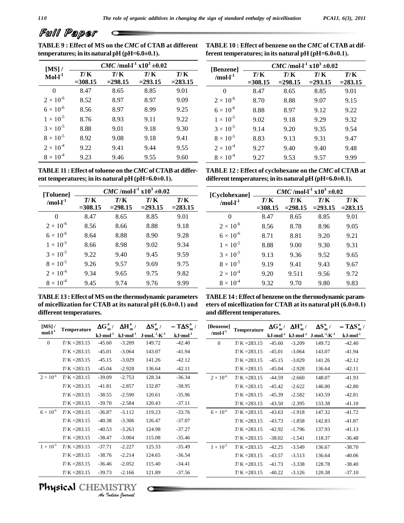## Full Paper

**TABLE 9 : Effect of MS on the** *CMC* **of CTAB at different the matter of the matter of MS** on the CMC of CTAB at<br> **temperatures;** in its natural pH (pH=6.0±0.1).  $\frac{d^2}{dt^2}$  **CMC** /mol·l<sup>-1</sup>  $\times 10^3 \pm 0.02$ 

**TABLE 10: Effect of benzene on the** *CMC* **of CTAB at different temperatures; in its natural pH (pH=6.0±0.1).**  $\frac{1}{2}$  **CMC** /mol·l<sup>-1</sup>  $\times 10^3 \pm 0.02$ 

|                       |                    | <i>CMC</i> /mol·l <sup>-1</sup> $x10^3 \pm 0.02$ |                   |                   |                     |
|-----------------------|--------------------|--------------------------------------------------|-------------------|-------------------|---------------------|
| $[MS]$ /<br>$Mol·l-1$ | T/ K<br>$= 308.15$ | T/K<br>$= 298.15$                                | T/K<br>$= 293.15$ | T/K<br>$= 283.15$ | <b>[Benz</b><br>/mo |
| $\Omega$              | 8.47               | 8.65                                             | 8.85              | 9.01              |                     |
| $2 \times 10^{-6}$    | 8.52               | 8.97                                             | 8.97              | 9.09              | $2 \times$          |
| $6 \times 10^{-6}$    | 8.56               | 8.97                                             | 8.99              | 9.25              | $6 \times$          |
| $1 \times 10^{-5}$    | 8.76               | 8.93                                             | 9.11              | 9.22              | $1 \times$          |
| $3 \times 10^{-5}$    | 8.88               | 9.01                                             | 9.18              | 9.30              | $3 \times$          |
| $8 \times 10^{-5}$    | 8.92               | 9.08                                             | 9.18              | 9.41              | $8 \times$          |
| $2 \times 10^{-4}$    | 9.22               | 9.41                                             | 9.44              | 9.55              | $2 \times$          |
| $8 \times 10^{-4}$    | 9.23               | 9.46                                             | 9.55              | 9.60              | $8 \times$          |

**TABLE11 :Effect of toluene on the** *CMC***of CTABat differ entrick is a substrated that <b>the CMC** of CTAB at dent temperatures; in its natural pH (pH=6.0±0.1).

| ent temperatures; in its natural pH (pH=6.0 $\pm$ 0.1). |                   |                   |                                                   |                   | differen        |
|---------------------------------------------------------|-------------------|-------------------|---------------------------------------------------|-------------------|-----------------|
| [Toluene]                                               |                   |                   | $CMC$ /mol·l <sup>-1</sup> x10 <sup>3</sup> ±0.02 |                   | [Cyclos]        |
| /mol $\cdot$ l <sup>-1</sup>                            | T/K<br>$= 308.15$ | T/K<br>$= 298.15$ | T/K<br>$= 293.15$                                 | T/K<br>$= 283.15$ | /m              |
| 0                                                       | 8.47              | 8.65              | 8.85                                              | 9.01              |                 |
| $2 \times 10^{-6}$                                      | 8.56              | 8.66              | 8.88                                              | 9.18              | $2\rightarrow$  |
| $6 \times 10^{-6}$                                      | 8.64              | 8.88              | 8.90                                              | 9.28              | $6\rightarrow$  |
| $1 \times 10^{-5}$                                      | 8.66              | 8.98              | 9.02                                              | 9.34              | 1               |
| $3 \times 10^{-5}$                                      | 9.22              | 9.40              | 9.45                                              | 9.59              | $3 \rightarrow$ |
| $8 \times 10^{-5}$                                      | 9.26              | 9.57              | 9.69                                              | 9.75              | $8 \rightarrow$ |
| $2 \times 10^{-4}$                                      | 9.34              | 9.65              | 9.75                                              | 9.82              | $2\rightarrow$  |
| $8 \times 10^{-4}$                                      | 9.45              | 9.74              | 9.76                                              | 9.99              | 8 >             |

**TABLE13 :Effect of MS onthe thermodynamic parameters of micellization for CTAB at its natural pH (6.0±0.1) and different temperatures.**

| [Benzene]              |            | $CMC$ /mol·l <sup>-1</sup> x10 <sup>3</sup> ±0.02 |            |            |  |  |  |
|------------------------|------------|---------------------------------------------------|------------|------------|--|--|--|
| /mol $\cdot$ l $^{-1}$ | T/K        | T/K                                               | T/K        | T/K        |  |  |  |
|                        | $= 308.15$ | $= 298.15$                                        | $= 293.15$ | $= 283.15$ |  |  |  |
| 0                      | 8.47       | 8.65                                              | 8.85       | 9.01       |  |  |  |
| $2 \times 10^{-6}$     | 8.70       | 8.88                                              | 9.07       | 9.15       |  |  |  |
| $6 \times 10^{-6}$     | 8.88       | 8.97                                              | 9.12       | 9.22       |  |  |  |
| $1 \times 10^{-5}$     | 9.02       | 9.18                                              | 9.29       | 9.32       |  |  |  |
| $3 \times 10^{-5}$     | 9.14       | 9.20                                              | 9.35       | 9.54       |  |  |  |
| $8 \times 10^{-5}$     | 8.83       | 9.13                                              | 9.31       | 9.47       |  |  |  |
| $2 \times 10^{-4}$     | 9.27       | 9.40                                              | 9.40       | 9.48       |  |  |  |
| $8 \times 10^{-4}$     | 9.27       | 9.53                                              | 9.57       | 9.99       |  |  |  |

**TABLE 12: Effect of cyclohexane on the** *CMC* **of CTAB at different temperatures;** in its natural pH (pH=6.0±0.1).  $\frac{1}{2}$  **CMC** /mol·l<sup>-1</sup>  $\times 10^{3} \pm 0.02$ 

| [Cyclohexane]      | $CMC$ /mol·l <sup>-1</sup> x10 <sup>3</sup> ±0.02 |                    |                    |                   |  |  |
|--------------------|---------------------------------------------------|--------------------|--------------------|-------------------|--|--|
| $/mol-1$           | T/K<br>$= 308.15$                                 | 7/ K<br>$= 298.15$ | 7/ K<br>$= 293.15$ | T/K<br>$= 283.15$ |  |  |
| 0                  | 8.47                                              | 8.65               | 8.85               | 9.01              |  |  |
| $2 \times 10^{-6}$ | 8.56                                              | 8.78               | 8.96               | 9.05              |  |  |
| $6 \times 10^{-6}$ | 8.71                                              | 8.81               | 9.20               | 9.21              |  |  |
| $1 \times 10^{-5}$ | 8.88                                              | 9.00               | 9.30               | 9.31              |  |  |
| $3 \times 10^{-5}$ | 9.13                                              | 9.36               | 9.52               | 9.65              |  |  |
| $8 \times 10^{-5}$ | 9.19                                              | 9.41               | 9.43               | 9.67              |  |  |
| $2 \times 10^{-4}$ | 9.20                                              | 9.511              | 9.56               | 9.72              |  |  |
| $8 \times 10^{-4}$ | 9.32                                              | 9.70               | 9.80               | 9.83              |  |  |

| TABLE 14 : Effect of benzene on the thermodynamic param-        |  |  |
|-----------------------------------------------------------------|--|--|
| eters of micellization for CTAB at its natural pH $(6.0\pm0.1)$ |  |  |
| and different temperatures.                                     |  |  |

| $[MS]$ /                                  |                | $\Delta G_m^o$ /  | $\Delta H_m^{\circ}$ / | $\Delta S_m^{\circ}$ /                   | $-$ T $\Delta S_m^{\circ}$ / | [Benzene]                    |                |                  |                        |                                                                                                          | $-\mathbf{T}\Delta S_{\mathrm{m}}^{\mathrm{o}}$ / |
|-------------------------------------------|----------------|-------------------|------------------------|------------------------------------------|------------------------------|------------------------------|----------------|------------------|------------------------|----------------------------------------------------------------------------------------------------------|---------------------------------------------------|
| $\mathbf{mol}\cdot\mathbf{l}^{\text{-}1}$ | Temperature    | $kJ$ -mol $^{-1}$ | $kJ$ -mol $^{-1}$      | $J$ ·mol. <sup>-1</sup> ·K <sup>-1</sup> | $kJ$ -mol $^{-1}$            | /mol $\cdot$ l <sup>-1</sup> | Temperature    | $\Delta G_m^o$ / | $\Delta H_m^{\circ}$ / | $\Delta S_m^{\circ}$ /<br>kJ·mol <sup>-1</sup> kJ·mol <sup>-1</sup> J·mol. <sup>-1</sup> K <sup>-1</sup> | $kJ \cdot mol^{-1}$                               |
| $\mathbf{0}$                              | $T/K = 283.15$ | $-45.60$          | $-3.209$               | 149.72                                   | $-42.40$                     | $\overline{0}$               | $T/K = 283.15$ | $-45.60$         | $-3.209$               | 149.72                                                                                                   | $-42.40$                                          |
|                                           | $T/K = 283.15$ | $-45.01$          | $-3.064$               | 143.07                                   | $-41.94$                     |                              | $T/K = 283.15$ | $-45.01$         | $-3.064$               | 143.07                                                                                                   | $-41.94$                                          |
|                                           | $T/K = 283.15$ | $-45.15$          | $-3.029$               | 141.26                                   | $-42.12$                     |                              | $T/K = 283.15$ | $-45.15$         | $-3.029$               | 141.26                                                                                                   | $-42.12$                                          |
|                                           | $T/K = 283.15$ | $-45.04$          | $-2.928$               | 136.64                                   | $-42.11$                     |                              | $T/K = 283.15$ | $-45.04$         | $-2.928$               | 136.64                                                                                                   | $-42.11$                                          |
| $2 \times 10^{-6}$                        | $T/K = 283.15$ | $-39.09$          | $-2.753$               | 128.34                                   | $-36.34$                     | $2 \times 10^{-6}$           | $T/K = 283.15$ | $-44.59$         | $-2.660$               | 148.07                                                                                                   | $-41.93$                                          |
|                                           | $T/K = 283.15$ | $-41.81$          | $-2.857$               | 132.87                                   | $-38.95$                     |                              | $T/K = 283.15$ | $-45.42$         | $-2.622$               | 146.00                                                                                                   | $-42.80$                                          |
|                                           | $T/K = 283.15$ | $-38.55$          | $-2.590$               | 120.61                                   | $-35.96$                     |                              | $T/K = 283.15$ | $-45.39$         | $-2.582$               | 143.59                                                                                                   | $-42.81$                                          |
|                                           | $T/K = 283.15$ | $-39.70$          | $-2.584$               | 120.43                                   | $-37.11$                     |                              | $T/K = 283.15$ | $-43.50$         | $-2.395$               | 133.38                                                                                                   | $-41.10$                                          |
| $6 \times 10^{-6}$                        | $T/K = 283.15$ | $-36.87$          | $-3.112$               | 119.23                                   | $-33.76$                     | $6 \times 10^{-6}$           | $T/K = 283.15$ | $-43.63$         | $-1.918$               | 147.32                                                                                                   | $-41.72$                                          |
|                                           | $T/K = 283.15$ | $-40.38$          | $-3.306$               | 126.47                                   | $-37.07$                     |                              | $T/K = 283.15$ | $-43.73$         | $-1.858$               | 142.83                                                                                                   | $-41.87$                                          |
|                                           | $T/K = 283.15$ | $-40.53$          | $-3.263$               | 124.98                                   | $-37.27$                     |                              | $T/K = 283.15$ | $-42.92$         | $-1.796$               | 137.93                                                                                                   | $-41.13$                                          |
|                                           | $T/K = 283.15$ | $-38.47$          | $-3.004$               | 115.08                                   | $-35.46$                     |                              | $T/K = 283.15$ | $-38.02$         | $-1.541$               | 118.37                                                                                                   | $-36.48$                                          |
| $1 \times 10^{-5}$                        | $T/K = 283.15$ | $-37.71$          | $-2.227$               | 125.33                                   | $-35.49$                     | $1 \times 10^{-5}$           | $T/K = 283.15$ | $-42.25$         | $-3.549$               | 136.67                                                                                                   | $-38.70$                                          |
|                                           | $T/K = 283.15$ | $-38.76$          | $-2.214$               | 124.65                                   | $-36.54$                     |                              | $T/K = 283.15$ | $-43.57$         | $-3.513$               | 136.64                                                                                                   | $-40.06$                                          |
|                                           | $T/K = 283.15$ | $-36.46$          | $-2.052$               | 115.40                                   | $-34.41$                     |                              | $T/K = 283.15$ | $-41.73$         | $-3.338$               | 128.78                                                                                                   | $-38.40$                                          |
|                                           | $T/K = 283.15$ | $-39.73$          | $-2.166$               | 121.89                                   | $-37.56$                     |                              | $T/K = 283.15$ | $-40.22$         | $-3.126$               | 120.38                                                                                                   | $-37.10$                                          |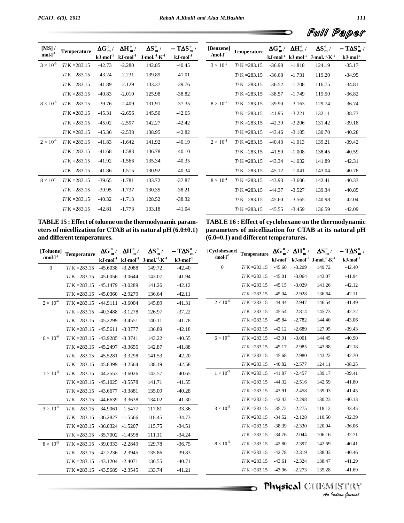| Full Paper                                                                                                             |  |
|------------------------------------------------------------------------------------------------------------------------|--|
| $\mathbf{H}^{\text{o}}_{\text{m}}$ / $\Delta S^{\text{o}}_{\text{m}}$ / $-\mathbf{T} \Delta S^{\text{o}}_{\text{m}}$ / |  |
| mol <sup>-1</sup> J·mol. <sup>-1</sup> K <sup>-1</sup> kJ·mol <sup>-1</sup>                                            |  |

|                       |                |                                         |                                                     |                                                             |                                                         |                                             |                |                     |                                          |                                                                                    | Fuill Paper                                         |
|-----------------------|----------------|-----------------------------------------|-----------------------------------------------------|-------------------------------------------------------------|---------------------------------------------------------|---------------------------------------------|----------------|---------------------|------------------------------------------|------------------------------------------------------------------------------------|-----------------------------------------------------|
| $[MS]$ /<br>$mol·l-1$ | Temperature    | $\Delta G_m^o$ /<br>$kJ \cdot mol^{-1}$ | $\Delta H_{\rm m}^{\rm o}$ /<br>$kJ \cdot mol^{-1}$ | $\Delta S_m^o$ /<br>$J$ ·mol. <sup>1</sup> ·K <sup>-1</sup> | $-$ T $\Delta S_m^{\circ}$ /<br>$kJ$ -mol <sup>-1</sup> | [Benzene]<br>/mol $\cdot$ $\mathbf{l}^{-1}$ | Temperature    | $kJ \cdot mol^{-1}$ | $\Delta G_m^{\circ}/\Delta H_m^{\circ}/$ | $\Delta S_m^{\circ}$ /<br>kJ·mol <sup>-1</sup> J·mol. <sup>1</sup> K <sup>-1</sup> | $-$ T $\Delta S_m^{\circ}$ /<br>$kJ \cdot mol^{-1}$ |
| $3 \times 10^{-5}$    | $T/K = 283.15$ | $-42.73$                                | $-2.280$                                            | 142.85                                                      | $-40.45$                                                | $3 \times 10^{-5}$                          | $T/K = 283.15$ | $-36.98$            | $-1.818$                                 | 124.19                                                                             | $-35.17$                                            |
|                       | $T/K = 283.15$ | $-43.24$                                | $-2.231$                                            | 139.89                                                      | $-41.01$                                                |                                             | $T/K = 283.15$ | $-36.68$            | $-1.731$                                 | 119.20                                                                             | $-34.95$                                            |
|                       | $T/K = 283.15$ | $-41.89$                                | $-2.129$                                            | 133.37                                                      | $-39.76$                                                |                                             | $T/K = 283.15$ | $-36.52$            | $-1.708$                                 | 116.75                                                                             | $-34.81$                                            |
|                       | $T/K = 283.15$ | $-40.83$                                | $-2.010$                                            | 125.98                                                      | $-38.82$                                                |                                             | $T/K = 283.15$ | $-38.57$            | $-1.749$                                 | 119.50                                                                             | $-36.82$                                            |
| $8 \times 10^{-5}$    | $T/K = 283.15$ | $-39.76$                                | $-2.409$                                            | 131.91                                                      | $-37.35$                                                | $8 \times 10^{-5}$                          | $T/K = 283.15$ | $-39.90$            | $-3.163$                                 | 129.74                                                                             | $-36.74$                                            |
|                       | $T/K = 283.15$ | $-45.31$                                | $-2.656$                                            | 145.50                                                      | $-42.65$                                                |                                             | $T/K = 283.15$ | $-41.95$            | $-3.221$                                 | 132.11                                                                             | $-38.73$                                            |
|                       | $T/K = 283.15$ | $-45.02$                                | $-2.597$                                            | 142.27                                                      | $-42.42$                                                |                                             | $T/K = 283.15$ | $-42.39$            | $-3.206$                                 | 131.42                                                                             | $-39.18$                                            |
|                       | $T/K = 283.15$ | $-45.36$                                | $-2.538$                                            | 138.95                                                      | $-42.82$                                                |                                             | $T/K = 283.15$ | $-43.46$            | $-3.185$                                 | 130.70                                                                             | $-40.28$                                            |
| $2 \times 10^{-4}$    | $T/K = 283.15$ | $-41.83$                                | $-1.642$                                            | 141.92                                                      | $-40.19$                                                | $2 \times 10^{-4}$                          | $T/K = 283.15$ | $-40.43$            | $-1.013$                                 | 139.21                                                                             | $-39.42$                                            |
|                       | $T/K = 283.15$ | $-41.68$                                | $-1.583$                                            | 136.78                                                      | $-40.10$                                                |                                             | $T/K = 283.15$ | $-41.59$            | $-1.008$                                 | 138.45                                                                             | $-40.59$                                            |
|                       | $T/K = 283.15$ | $-41.92$                                | $-1.566$                                            | 135.34                                                      | $-40.35$                                                |                                             | $T/K = 283.15$ | $-43.34$            | $-1.032$                                 | 141.89                                                                             | $-42.31$                                            |
|                       | $T/K = 283.15$ | $-41.86$                                | $-1.515$                                            | 130.92                                                      | $-40.34$                                                |                                             | $T/K = 283.15$ | $-45.12$            | $-1.041$                                 | 143.04                                                                             | $-40.78$                                            |
| $8 \times 10^{-4}$    | $T/K = 283.15$ | $-39.65$                                | $-1.781$                                            | 133.72                                                      | $-37.87$                                                | $8 \times 10^{-4}$                          | $T/K = 283.15$ | $-43.93$            | $-3.606$                                 | 142.41                                                                             | $-40.33$                                            |
|                       | $T/K = 283.15$ | $-39.95$                                | $-1.737$                                            | 130.35                                                      | $-38.21$                                                |                                             | $T/K = 283.15$ | $-44.37$            | $-3.527$                                 | 139.34                                                                             | $-40.85$                                            |
|                       | $T/K = 283.15$ | $-40.32$                                | $-1.713$                                            | 128.52                                                      | $-38.32$                                                |                                             | $T/K = 283.15$ | $-45.60$            | $-3.565$                                 | 140.98                                                                             | $-42.04$                                            |
|                       | $T/K = 283.15$ | $-42.81$                                | $-1.773$                                            | 133.18                                                      | $-41.04$                                                |                                             | $T/K = 283.15$ | $-45.55$            | $-3.459$                                 | 136.59                                                                             | $-42.09$                                            |

**TABLE15 :Effect oftoluene on the thermodynamic param eters of micellization for CTAB at its natural pH (6.0±0.1)** and different temperatures.

|                     | <b>TABLE 16: Effect of cyclohexane on the thermodynamic</b>                      |                    |  |
|---------------------|----------------------------------------------------------------------------------|--------------------|--|
|                     | parameters of micellization for CTAB at its natural pH                           |                    |  |
|                     | $(6.0\pm0.1)$ and different temperatures.                                        |                    |  |
| <b>Croleboronel</b> | $\mathbf{A}\mathbf{C}^0$ , $\mathbf{A}\mathbf{H}^0$ , $\mathbf{A}\mathbf{C}^0$ , | TAC <sup>0</sup> / |  |

| [Toluene]<br>/mol $\cdot$ $\Gamma$ <sup>1</sup> | <b>Temperature</b>                | $\Delta G_m^o / \Delta H_m^o /$ | $\Delta S_m^{\circ}$ /<br>$kJ$ -mol <sup>-1</sup> $kJ$ -mol <sup>-1</sup> $J$ -mol- <sup>1</sup> ·K <sup>-1</sup> | $-T\Delta S_{m}^{o}/$<br>$kJ \cdot mol^{-1}$ | [Cyclohexane]<br>/mol $\cdot$ l <sup>-1</sup> | <b>Temperature</b> |          | $\Delta G_m^o / \Delta H_m^o /$ | $\Delta S_m^{\circ}$ /<br>$kJ$ -mol <sup>-1</sup> $kJ$ -mol <sup>-1</sup> $J$ -mol- <sup>1</sup> $K$ <sup>-1</sup> | $-\mathbf{T}\Delta S_{m}^{o}$ /<br>$kJ \cdot mol^{-1}$ |
|-------------------------------------------------|-----------------------------------|---------------------------------|-------------------------------------------------------------------------------------------------------------------|----------------------------------------------|-----------------------------------------------|--------------------|----------|---------------------------------|--------------------------------------------------------------------------------------------------------------------|--------------------------------------------------------|
| $\mathbf{0}$                                    | $T/K = 283.15 - 45.6038 - 3.2088$ |                                 | 149.72                                                                                                            | $-42.40$                                     | $\overline{0}$                                | $T/K = 283.15$     | $-45.60$ | $-3.209$                        | 149.72                                                                                                             | $-42.40$                                               |
|                                                 | $T/K = 283.15 - 45.0056 - 3.0644$ |                                 | 143.07                                                                                                            | $-41.94$                                     |                                               | $T/K = 283.15$     | $-45.01$ | $-3.064$                        | 143.07                                                                                                             | $-41.94$                                               |
|                                                 | $T/K = 283.15 - 45.1479 - 3.0289$ |                                 | 141.26                                                                                                            | $-42.12$                                     |                                               | $T/K = 283.15$     | $-45.15$ | $-3.029$                        | 141.26                                                                                                             | $-42.12$                                               |
|                                                 | $T/K = 283.15 - 45.0360 - 2.9279$ |                                 | 136.64                                                                                                            | $-42.11$                                     |                                               | $T/K = 283.15$     | $-45.04$ | $-2.928$                        | 136.64                                                                                                             | $-42.11$                                               |
| $2\times10^{\text{-}6}$                         | $T/K = 283.15 -44.9111 -3.6004$   |                                 | 145.89                                                                                                            | $-41.31$                                     | $2\times10^{\text{-}6}$                       | $T/K = 283.15$     | $-44.44$ | $-2.947$                        | 146.54                                                                                                             | $-41.49$                                               |
|                                                 | $T/K = 283.15 - 40.3488 - 3.1278$ |                                 | 126.97                                                                                                            | $-37.22$                                     |                                               | $T/K = 283.15$     | $-45.54$ | $-2.814$                        | 145.73                                                                                                             | $-42.72$                                               |
|                                                 | $T/K = 283.15 - 45.2299 - 3.4551$ |                                 | 140.11                                                                                                            | $-41.78$                                     |                                               | $T/K = 283.15$     | $-45.84$ | $-2.782$                        | 144.40                                                                                                             | $-43.06$                                               |
|                                                 | $T/K = 283.15 - 45.5611 - 3.3777$ |                                 | 136.89                                                                                                            | $-42.18$                                     |                                               | $T/K = 283.15$     | $-42.12$ | $-2.689$                        | 127.95                                                                                                             | $-39.43$                                               |
| $6 \times 10^{-6}$                              | $T/K = 283.15 -43.9285 -3.3741$   |                                 | 143.22                                                                                                            | $-40.55$                                     | $6 \times 10^{-6}$                            | $T/K = 283.15$     | $-43.91$ | $-3.001$                        | 144.45                                                                                                             | $-40.90$                                               |
|                                                 | $T/K = 283.15 - 45.2497 - 3.3655$ |                                 | 142.87                                                                                                            | $-41.88$                                     |                                               | $T/K = 283.15$     | $-45.17$ | $-2.985$                        | 143.88                                                                                                             | $-42.18$                                               |
|                                                 | $T/K = 283.15 - 45.5281 - 3.3298$ |                                 | 141.53                                                                                                            | $-42.20$                                     |                                               | $T/K = 283.15$     | $-45.68$ | $-2.980$                        | 143.22                                                                                                             | $-42.70$                                               |
|                                                 | $T/K = 283.15 - 45.8399 - 3.2564$ |                                 | 138.19                                                                                                            | $-42.58$                                     |                                               | $T/K = 283.15$     | $-40.82$ | $-2.577$                        | 124.11                                                                                                             | $-38.25$                                               |
| $1 \times 10^{-5}$                              | $T/K = 283.15 -44.2553 -3.6026$   |                                 | 143.57                                                                                                            | $-40.65$                                     | $1 \times 10^{-5}$                            | $T/K = 283.15$     | $-41.87$ | $-2.457$                        | 139.17                                                                                                             | $-39.41$                                               |
|                                                 | $T/K = 283.15 - 45.1025 - 3.5578$ |                                 | 141.71                                                                                                            | $-41.55$                                     |                                               | $T/K = 283.15$     | $-44.32$ | $-2.516$                        | 142.59                                                                                                             | $-41.80$                                               |
|                                                 | $T/K = 283.15 - 43.6677 - 3.3881$ |                                 | 135.09                                                                                                            | $-40.28$                                     |                                               | $T/K = 283.15$     | $-43.91$ | $-2.458$                        | 139.03                                                                                                             | $-41.45$                                               |
|                                                 | $T/K = 283.15 - 44.6639 - 3.3638$ |                                 | 134.02                                                                                                            | $-41.30$                                     |                                               | $T/K = 283.15$     | $-42.43$ | $-2.298$                        | 130.23                                                                                                             | $-40.13$                                               |
| $3 \times 10^{-5}$                              | $T/K = 283.15 - 34.9061 - 1.5477$ |                                 | 117.81                                                                                                            | $-33.36$                                     | $3 \times 10^{-5}$                            | $T/K = 283.15$     | $-35.72$ | $-2.275$                        | 118.12                                                                                                             | $-33.45$                                               |
|                                                 | $T/K = 283.15 - 36.2827 - 1.5566$ |                                 | 118.45                                                                                                            | $-34.73$                                     |                                               | $T/K = 283.15$     | $-34.52$ | $-2.128$                        | 110.50                                                                                                             | $-32.39$                                               |
|                                                 | $T/K = 283.15 - 36.0324 - 1.5207$ |                                 | 115.75                                                                                                            | $-34.51$                                     |                                               | $T/K = 283.15$     | $-38.39$ | $-2.330$                        | 120.94                                                                                                             | $-36.06$                                               |
|                                                 | $T/K = 283.15 - 35.7002 - 1.4598$ |                                 | 111.11                                                                                                            | $-34.24$                                     |                                               | $T/K = 283.15$     | $-34.76$ | $-2.044$                        | 106.16                                                                                                             | $-32.71$                                               |
| $8 \times 10^{-5}$                              | $T/K = 283.15 - 39.0333 - 2.2849$ |                                 | 129.78                                                                                                            | $-36.75$                                     | $8 \times 10^{-5}$                            | $T/K = 283.15$     | $-42.80$ | $-2.397$                        | 142.69                                                                                                             | $-40.41$                                               |
|                                                 | $T/K = 283.15 - 42.2236 - 2.3945$ |                                 | 135.86                                                                                                            | $-39.83$                                     |                                               | $T/K = 283.15$     | $-42.78$ | $-2.319$                        | 138.03                                                                                                             | $-40.46$                                               |
|                                                 | $T/K = 283.15 -43.1204 -2.4071$   |                                 | 136.55                                                                                                            | $-40.71$                                     |                                               | $T/K = 283.15$     | $-43.61$ | $-2.324$                        | 138.47                                                                                                             | $-41.29$                                               |
|                                                 | $T/K = 283.15 - 43.5689 - 2.3545$ |                                 | 133.74                                                                                                            | $-41.21$                                     |                                               | $T/K = 283.15$     | $-43.96$ | $-2.273$                        | 135.28                                                                                                             | $-41.69$                                               |

# Physical CHEMISTRY